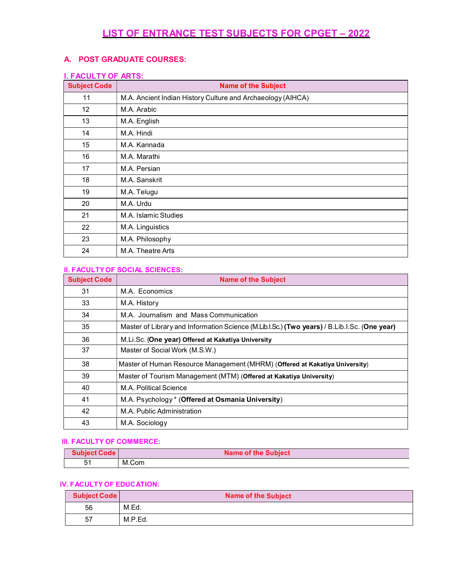# LIST OF ENTRANCE TEST SUBJECTS FOR CPGET – 2022

### A. POST GRADUATE COURSES:

#### I. FACULTY OF ARTS:

| <b>Subject Code</b> | <b>Name of the Subject</b>                                  |
|---------------------|-------------------------------------------------------------|
| 11                  | M.A. Ancient Indian History Culture and Archaeology (AIHCA) |
| 12 <sup>2</sup>     | M.A. Arabic                                                 |
| 13                  | M.A. English                                                |
| 14                  | M.A. Hindi                                                  |
| 15                  | M.A. Kannada                                                |
| 16                  | M.A. Marathi                                                |
| 17                  | M.A. Persian                                                |
| 18                  | M.A. Sanskrit                                               |
| 19                  | M.A. Telugu                                                 |
| 20                  | M.A. Urdu                                                   |
| 21                  | M.A. Islamic Studies                                        |
| 22                  | M.A. Linguistics                                            |
| 23                  | M.A. Philosophy                                             |
| 24                  | M.A. Theatre Arts                                           |

#### II. FACULTY OF SOCIAL SCIENCES:

| <b>Subject Code</b> | <b>Name of the Subject</b>                                                                   |
|---------------------|----------------------------------------------------------------------------------------------|
| 31                  | M.A. Economics                                                                               |
| 33                  | M.A. History                                                                                 |
| 34                  | M.A. Journalism and Mass Communication                                                       |
| 35                  | Master of Library and Information Science (M.Lib.I.Sc.) (Two years) / B.Lib.I.Sc. (One year) |
| 36                  | M.Li.Sc. (One year) Offered at Kakatiya University                                           |
| 37                  | Master of Social Work (M.S.W.)                                                               |
| 38                  | Master of Human Resource Management (MHRM) (Offered at Kakatiya University)                  |
| 39                  | Master of Tourism Management (MTM) (Offered at Kakatiya University)                          |
| 40                  | M.A. Political Science                                                                       |
| 41                  | M.A. Psychology * (Offered at Osmania University)                                            |
| 42                  | M.A. Public Administration                                                                   |
| 43                  | M.A. Sociology                                                                               |

#### III. FACULTY OF COMMERCE:

| <b>Subject Code</b> | Name of the Subject |
|---------------------|---------------------|
|                     | M.Com               |

### IV. FACULTY OF EDUCATION:

| <b>Subject Code</b> | <b>Name of the Subject</b> |
|---------------------|----------------------------|
| 56                  | M.Ed.                      |
| 57                  | M.P.Ed.                    |